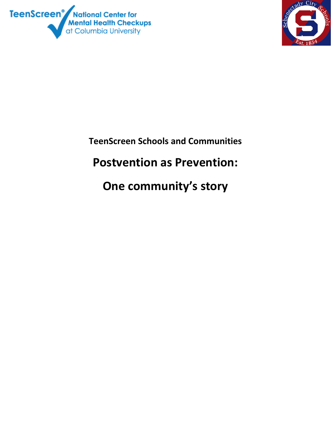



**TeenScreen Schools and Communities Postvention as Prevention: One community's story**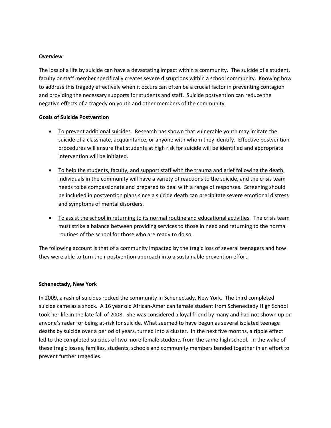#### **Overview**

The loss of a life by suicide can have a devastating impact within a community. The suicide of a student, faculty or staff member specifically creates severe disruptions within a school community. Knowing how to address this tragedy effectively when it occurs can often be a crucial factor in preventing contagion and providing the necessary supports for students and staff. Suicide postvention can reduce the negative effects of a tragedy on youth and other members of the community.

#### **Goals of Suicide Postvention**

- To prevent additional suicides. Research has shown that vulnerable youth may imitate the suicide of a classmate, acquaintance, or anyone with whom they identify. Effective postvention procedures will ensure that students at high risk for suicide will be identified and appropriate intervention will be initiated.
- To help the students, faculty, and support staff with the trauma and grief following the death. Individuals in the community will have a variety of reactions to the suicide, and the crisis team needs to be compassionate and prepared to deal with a range of responses. Screening should be included in postvention plans since a suicide death can precipitate severe emotional distress and symptoms of mental disorders.
- To assist the school in returning to its normal routine and educational activities. The crisis team must strike a balance between providing services to those in need and returning to the normal routines of the school for those who are ready to do so.

The following account is that of a community impacted by the tragic loss of several teenagers and how they were able to turn their postvention approach into a sustainable prevention effort.

#### **Schenectady, New York**

In 2009, a rash of suicides rocked the community in Schenectady, New York. The third completed suicide came as a shock. A 16 year old African‐American female student from Schenectady High School took her life in the late fall of 2008. She was considered a loyal friend by many and had not shown up on anyone's radar for being at‐risk for suicide. What seemed to have begun as several isolated teenage deaths by suicide over a period of years, turned into a cluster. In the next five months, a ripple effect led to the completed suicides of two more female students from the same high school. In the wake of these tragic losses, families, students, schools and community members banded together in an effort to prevent further tragedies.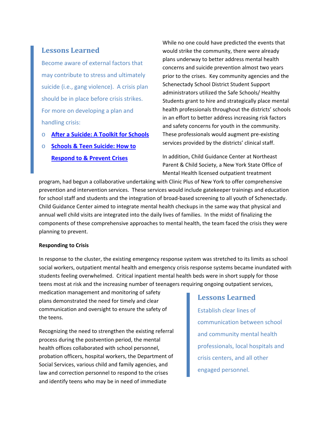# **Lessons Learned**

Become aware of external factors that may contribute to stress and ultimately suicide (i.e., gang violence). A crisis plan should be in place before crisis strikes. For more on developing a plan and handling crisis:

- o **After a [Suicide:](http://www.sprc.org/library/AfteraSuicideToolkitforSchools.pdf) A Toolkit for Schools**
- o **Schools & Teen [Suicide:](http://www.teenscreen.org/resources/events-webinars/schools-teen-suicide/) How to [Respond](http://www.teenscreen.org/resources/events-webinars/schools-teen-suicide/) to & Prevent Crises**

While no one could have predicted the events that would strike the community, there were already plans underway to better address mental health concerns and suicide prevention almost two years prior to the crises. Key community agencies and the Schenectady School District Student Support administrators utilized the Safe Schools/ Healthy Students grant to hire and strategically place mental health professionals throughout the districts' schools in an effort to better address increasing risk factors and safety concerns for youth in the community. These professionals would augment pre‐existing services provided by the districts' clinical staff.

In addition, Child Guidance Center at Northeast Parent & Child Society, a New York State Office of Mental Health licensed outpatient treatment

program, had begun a collaborative undertaking with Clinic Plus of New York to offer comprehensive prevention and intervention services. These services would include gatekeeper trainings and education for school staff and students and the integration of broad‐based screening to all youth of Schenectady. Child Guidance Center aimed to integrate mental health checkups in the same way that physical and annual well child visits are integrated into the daily lives of families. In the midst of finalizing the components of these comprehensive approaches to mental health, the team faced the crisis they were planning to prevent.

### **Responding to Crisis**

In response to the cluster, the existing emergency response system was stretched to its limits as school social workers, outpatient mental health and emergency crisis response systems became inundated with students feeling overwhelmed. Critical inpatient mental health beds were in short supply for those teens most at risk and the increasing number of teenagers requiring ongoing outpatient services,

medication management and monitoring of safety plans demonstrated the need for timely and clear communication and oversight to ensure the safety of the teens.

Recognizing the need to strengthen the existing referral process during the postvention period, the mental health offices collaborated with school personnel, probation officers, hospital workers, the Department of Social Services, various child and family agencies, and law and correction personnel to respond to the crises and identify teens who may be in need of immediate

# **Lessons Learned**

Establish clear lines of communication between school and community mental health professionals, local hospitals and crisis centers, and all other engaged personnel.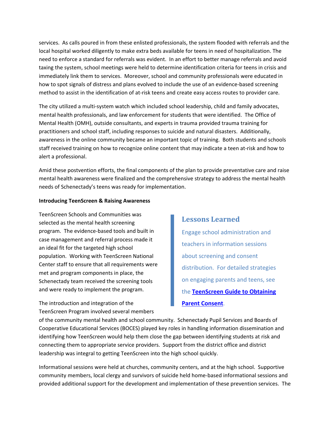services. As calls poured in from these enlisted professionals, the system flooded with referrals and the local hospital worked diligently to make extra beds available for teens in need of hospitalization. The need to enforce a standard for referrals was evident. In an effort to better manage referrals and avoid taxing the system, school meetings were held to determine identification criteria for teens in crisis and immediately link them to services. Moreover, school and community professionals were educated in how to spot signals of distress and plans evolved to include the use of an evidence‐based screening method to assist in the identification of at-risk teens and create easy access routes to provider care.

The city utilized a multi‐system watch which included school leadership, child and family advocates, mental health professionals, and law enforcement for students that were identified. The Office of Mental Health (OMH), outside consultants, and experts in trauma provided trauma training for practitioners and school staff, including responses to suicide and natural disasters. Additionally, awareness in the online community became an important topic of training. Both students and schools staff received training on how to recognize online content that may indicate a teen at‐risk and how to alert a professional.

Amid these postvention efforts, the final components of the plan to provide preventative care and raise mental health awareness were finalized and the comprehensive strategy to address the mental health needs of Schenectady's teens was ready for implementation.

#### **Introducing TeenScreen & Raising Awareness**

TeenScreen Schools and Communities was selected as the mental health screening program. The evidence‐based tools and built in case management and referral process made it an ideal fit for the targeted high school population. Working with TeenScreen National Center staff to ensure that all requirements were met and program components in place, the Schenectady team received the screening tools and were ready to implement the program.

The introduction and integration of the TeenScreen Program involved several members

## **Lessons Learned**

Engage school administration and teachers in information sessions about screening and consent distribution. For detailed strategies on engaging parents and teens, see the **[TeenScreen](http://bit.ly/hTZWvN) Guide to Obtaining Parent [Consent](http://bit.ly/hTZWvN)**.

of the community mental health and school community. Schenectady Pupil Services and Boards of Cooperative Educational Services (BOCES) played key roles in handling information dissemination and identifying how TeenScreen would help them close the gap between identifying students at risk and connecting them to appropriate service providers. Support from the district office and district leadership was integral to getting TeenScreen into the high school quickly.

Informational sessions were held at churches, community centers, and at the high school. Supportive community members, local clergy and survivors of suicide held home-based informational sessions and provided additional support for the development and implementation of these prevention services. The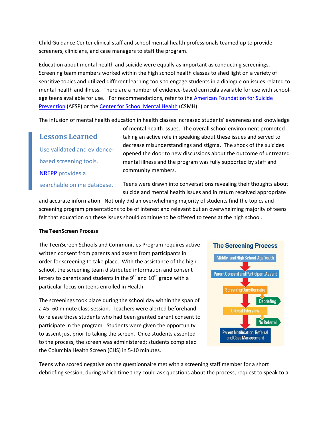Child Guidance Center clinical staff and school mental health professionals teamed up to provide screeners, clinicians, and case managers to staff the program.

Education about mental health and suicide were equally as important as conducting screenings. Screening team members worked within the high school health classes to shed light on a variety of sensitive topics and utilized different learning tools to engage students in a dialogue on issues related to mental health and illness. There are a number of evidence-based curricula available for use with schoolage teens available for use. For recommendations, refer to the American [Foundation](http://www.afsp.org/index.cfm?fuseaction=home.viewPage&page_id=7429D2BB-E872-022D-4C30270097885002) for Suicide [Prevention](http://www.afsp.org/index.cfm?fuseaction=home.viewPage&page_id=7429D2BB-E872-022D-4C30270097885002) (AFSP) or the Center for School [Mental](http://csmh.umaryland.edu/resources/index.html) Health (CSMH).

The infusion of mental health education in health classes increased students' awareness and knowledge

**Lessons Learned** Use validated and evidence‐ based screening tools. [NREPP](http://nrepp.samhsa.gov/) provides a searchable online database. of mental health issues. The overall school environment promoted taking an active role in speaking about these issues and served to decrease misunderstandings and stigma. The shock of the suicides opened the door to new discussions about the outcome of untreated mental illness and the program was fully supported by staff and community members.

Teens were drawn into conversations revealing their thoughts about suicide and mental health issues and in return received appropriate

and accurate information. Not only did an overwhelming majority of students find the topics and screening program presentations to be of interest and relevant but an overwhelming majority of teens felt that education on these issues should continue to be offered to teens at the high school.

### **The TeenScreen Process**

The TeenScreen Schools and Communities Program requires active written consent from parents and assent from participants in order for screening to take place. With the assistance of the high school, the screening team distributed information and consent letters to parents and students in the  $9<sup>th</sup>$  and  $10<sup>th</sup>$  grade with a particular focus on teens enrolled in Health.

The screenings took place during the school day within the span of a 45‐ 60 minute class session. Teachers were alerted beforehand to release those students who had been granted parent consent to participate in the program. Students were given the opportunity to assent just prior to taking the screen. Once students assented to the process, the screen was administered; students completed the Columbia Health Screen (CHS) in 5‐10 minutes.



Teens who scored negative on the questionnaire met with a screening staff member for a short debriefing session, during which time they could ask questions about the process, request to speak to a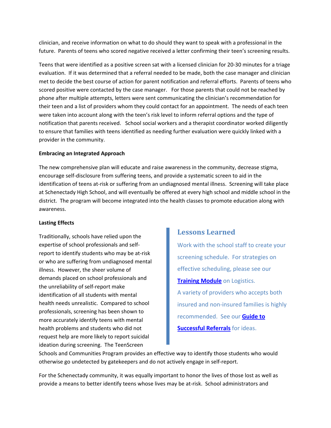clinician, and receive information on what to do should they want to speak with a professional in the future. Parents of teens who scored negative received a letter confirming their teen's screening results.

Teens that were identified as a positive screen sat with a licensed clinician for 20‐30 minutes for a triage evaluation. If it was determined that a referral needed to be made, both the case manager and clinician met to decide the best course of action for parent notification and referral efforts. Parents of teens who scored positive were contacted by the case manager. For those parents that could not be reached by phone after multiple attempts, letters were sent communicating the clinician's recommendation for their teen and a list of providers whom they could contact for an appointment. The needs of each teen were taken into account along with the teen's risk level to inform referral options and the type of notification that parents received. School social workers and a therapist coordinator worked diligently to ensure that families with teens identified as needing further evaluation were quickly linked with a provider in the community.

### **Embracing an Integrated Approach**

The new comprehensive plan will educate and raise awareness in the community, decrease stigma, encourage self‐disclosure from suffering teens, and provide a systematic screen to aid in the identification of teens at‐risk or suffering from an undiagnosed mental illness. Screening will take place at Schenectady High School, and will eventually be offered at every high school and middle school in the district. The program will become integrated into the health classes to promote education along with awareness.

### **Lasting Effects**

Traditionally, schools have relied upon the expertise of school professionals and self‐ report to identify students who may be at‐risk or who are suffering from undiagnosed mental illness. However, the sheer volume of demands placed on school professionals and the unreliability of self‐report make identification of all students with mental health needs unrealistic. Compared to school professionals, screening has been shown to more accurately identify teens with mental health problems and students who did not request help are more likely to report suicidal ideation during screening. The TeenScreen

# **Lessons Learned**

Work with the school staff to create your screening schedule. For strategies on effective scheduling, please see our **[Training](http://www.teenscreen.org/programs/schools-communities/start-a-screening-program/) Module** on Logistics. A variety of providers who accepts both insured and non‐insured families is highly recommended. See our **[Guide](http://bit.ly/ehiWOL) to [Successful](http://bit.ly/ehiWOL) Referrals** for ideas.

Schools and Communities Program provides an effective way to identify those students who would otherwise go undetected by gatekeepers and do not actively engage in self‐report.

For the Schenectady community, it was equally important to honor the lives of those lost as well as provide a means to better identify teens whose lives may be at‐risk. School administrators and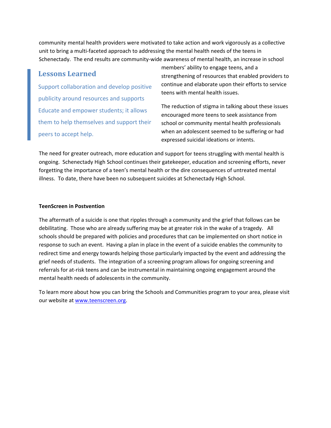community mental health providers were motivated to take action and work vigorously as a collective unit to bring a multi‐faceted approach to addressing the mental health needs of the teens in Schenectady. The end results are community‐wide awareness of mental health, an increase in school

# **Lessons Learned**

Support collaboration and develop positive publicity around resources and supports Educate and empower students; it allows them to help themselves and support their peers to accept help.

members' ability to engage teens, and a strengthening of resources that enabled providers to continue and elaborate upon their efforts to service teens with mental health issues.

The reduction of stigma in talking about these issues encouraged more teens to seek assistance from school or community mental health professionals when an adolescent seemed to be suffering or had expressed suicidal ideations or intents.

The need for greater outreach, more education and support for teens struggling with mental health is ongoing. Schenectady High School continues their gatekeeper, education and screening efforts, never forgetting the importance of a teen's mental health or the dire consequences of untreated mental illness. To date, there have been no subsequent suicides at Schenectady High School.

### **TeenScreen in Postvention**

The aftermath of a suicide is one that ripples through a community and the grief that follows can be debilitating. Those who are already suffering may be at greater risk in the wake of a tragedy. All schools should be prepared with policies and procedures that can be implemented on short notice in response to such an event. Having a plan in place in the event of a suicide enables the community to redirect time and energy towards helping those particularly impacted by the event and addressing the grief needs of students. The integration of a screening program allows for ongoing screening and referrals for at-risk teens and can be instrumental in maintaining ongoing engagement around the mental health needs of adolescents in the community.

To learn more about how you can bring the Schools and Communities program to your area, please visit our website at [www.teenscreen.org.](http://www.teenscreen.org/)